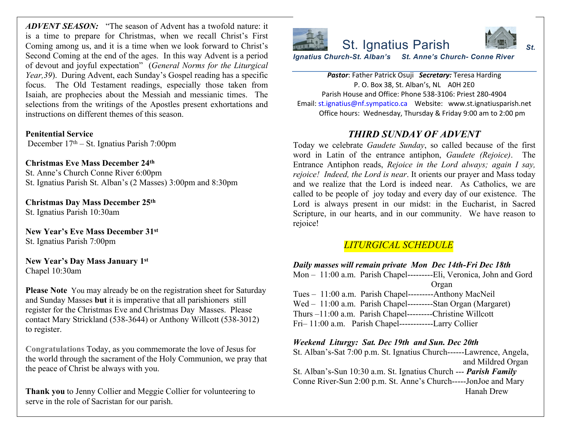*ADVENT SEASON:* "The season of Advent has a twofold nature: it is a time to prepare for Christmas, when we recall Christ's First Coming among us, and it is a time when we look forward to Christ's Second Coming at the end of the ages. In this way Advent is a period of devout and joyful expectation" (*General Norms for the Liturgical Year,39*). During Advent, each Sunday's Gospel reading has a specific focus. The Old Testament readings, especially those taken from Isaiah, are prophecies about the Messiah and messianic times. The selections from the writings of the Apostles present exhortations and instructions on different themes of this season.

**Penitential Service** December 17th – St. Ignatius Parish 7:00pm

**Christmas Eve Mass December 24th** St. Anne's Church Conne River 6:00pm St. Ignatius Parish St. Alban's (2 Masses) 3:00pm and 8:30pm

**Christmas Day Mass December 25th** St. Ignatius Parish 10:30am

**New Year's Eve Mass December 31st** St. Ignatius Parish 7:00pm

**New Year's Day Mass January 1st** Chapel 10:30am

**Please Note** You may already be on the registration sheet for Saturday and Sunday Masses **but** it is imperative that all parishioners still register for the Christmas Eve and Christmas Day Masses. Please contact Mary Strickland (538-3644) or Anthony Willcott (538-3012) to register.

**Congratulations** Today, as you commemorate the love of Jesus for the world through the sacrament of the Holy Communion, we pray that the peace of Christ be always with you.

**Thank you** to Jenny Collier and Meggie Collier for volunteering to serve in the role of Sacristan for our parish.



**Pastor: Father Patrick Osuji Secret** P. O. Box 38, St. Alban's, Parish House and Office: Phone 538 Email: st.ignatius@nf.sympatico.ca Webs Office hours: Wednesday, Thursday

# *THIRD SUNDAY OF*

Today we celebrate *Gaudete Sunday*, so word in Latin of the entrance antipho Entrance Antiphon reads, Rejoice in th *rejoice! Indeed, the Lord is near. It orients our prayers to <i>rejoice! Indeed, the Lord is near.* It orients and we realize that the Lord is indeed called to be people of joy today and eve Lord is always present in our midst: Scripture, in our hearts, and in our con rejoice!

# $LITURGICAL$  *SCHED*

*Daily masses will remain private Mon* Mon - 11:00 a.m. Parish Chapel--------- Organ Tues – 11:00 a.m. Parish Chapel--------- $Wed - 11:00$  a.m. Parish Chapel---------Thurs  $-11:00$  a.m. Parish Chapel---------Fri- 11:00 a.m. Parish Chapel------------

*Weekend Liturgy: Sat. Dec 19th and S* St. Alban's-Sat 7:00 p.m. St. Ignatius Church-

St. Alban's-Sun 10:30 a.m. St. Ignatius C Conne River-Sun 2:00 p.m. St. Anne's C.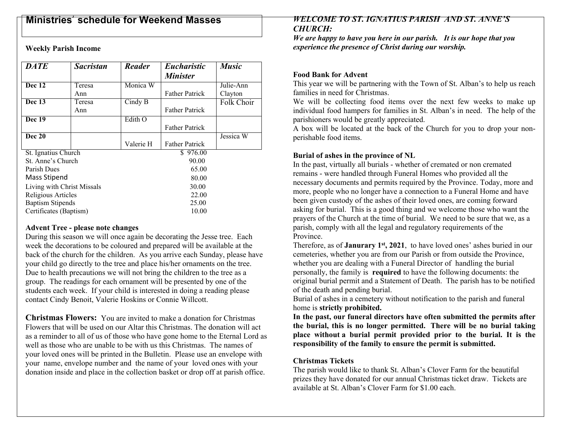# **Ministries**' **schedule for Weekend Masses**

**Weekly Parish Income**

| <b>DATE</b>                | <b>Sacristan</b> | <b>Reader</b> | <b>Eucharistic</b>    | <b>Music</b> |
|----------------------------|------------------|---------------|-----------------------|--------------|
|                            |                  |               | <b>Minister</b>       |              |
| Dec 12                     | Teresa           | Monica W      |                       | Julie-Ann    |
|                            | Ann              |               | <b>Father Patrick</b> | Clayton      |
| Dec $13$                   | Teresa           | Cindy B       |                       | Folk Choir   |
|                            | Ann              |               | <b>Father Patrick</b> |              |
| Dec 19                     |                  | Edith O       |                       |              |
|                            |                  |               | <b>Father Patrick</b> |              |
| <b>Dec 20</b>              |                  |               |                       | Jessica W    |
|                            |                  | Valerie H     | <b>Father Patrick</b> |              |
| St. Ignatius Church        |                  |               | \$976.00              |              |
| St. Anne's Church          |                  |               | 90.00                 |              |
| Parish Dues                |                  |               | 65.00                 |              |
| <b>Mass Stipend</b>        |                  |               | 80.00                 |              |
| Living with Christ Missals |                  |               | 30.00                 |              |
| Religious Articles         |                  |               | 22.00                 |              |
| <b>Baptism Stipends</b>    |                  |               | 25.00                 |              |
| Certificates (Baptism)     |                  |               | 10.00                 |              |

#### **Advent Tree - please note changes**

During this season we will once again be decorating the Jesse tree. Each week the decorations to be coloured and prepared will be available at the back of the church for the children. As you arrive each Sunday, please have your child go directly to the tree and place his/her ornaments on the tree. Due to health precautions we will not bring the children to the tree as a group. The readings for each ornament will be presented by one of the students each week. If your child is interested in doing a reading please contact Cindy Benoit, Valerie Hoskins or Connie Willcott.

**Christmas Flowers:** You are invited to make a donation for Christmas Flowers that will be used on our Altar this Christmas. The donation will act as a reminder to all of us of those who have gone home to the Eternal Lord as well as those who are unable to be with us this Christmas. The names of your loved ones will be printed in the Bulletin. Please use an envelope with your name, envelope number and the name of your loved ones with your donation inside and place in the collection basket or drop off at parish office.

### *WELCOME TO ST. IGNATIUS PARISH AND ST. ANNE'S CHURCH:*

*We are happy to have you here in our parish. It is our hope that you experience the presence of Christ during our worship.*

## **Food Bank for Advent**

This year we will be partnering with the Town of St. Alban's to help us reach families in need for Christmas.

We will be collecting food items over the next few weeks to make up individual food hampers for families in St. Alban's in need. The help of the parishioners would be greatly appreciated.

A box will be located at the back of the Church for you to drop your nonperishable food items.

## **Burial of ashes in the province of NL**

In the past, virtually all burials - whether of cremated or non cremated remains - were handled through Funeral Homes who provided all the necessary documents and permits required by the Province. Today, more and more, people who no longer have a connection to a Funeral Home and have been given custody of the ashes of their loved ones, are coming forward asking for burial. This is a good thing and we welcome those who want the prayers of the Church at the time of burial. We need to be sure that we, as a parish, comply with all the legal and regulatory requirements of the Province.

Therefore, as of **Janurary 1st, 2021**, to have loved ones' ashes buried in our cemeteries, whether you are from our Parish or from outside the Province, whether you are dealing with a Funeral Director of handling the burial personally, the family is **required** to have the following documents: the original burial permit and a Statement of Death. The parish has to be notified of the death and pending burial.

Burial of ashes in a cemetery without notification to the parish and funeral home is **strictly prohibited.**

**In the past, our funeral directors have often submitted the permits after the burial, this is no longer permitted. There will be no burial taking place without a burial permit provided prior to the burial. It is the responsibility of the family to ensure the permit is submitted.**

### **Christmas Tickets**

The parish would like to thank St. Alban's Clover Farm for the beautiful prizes they have donated for our annual Christmas ticket draw. Tickets are available at St. Alban's Clover Farm for \$1.00 each.